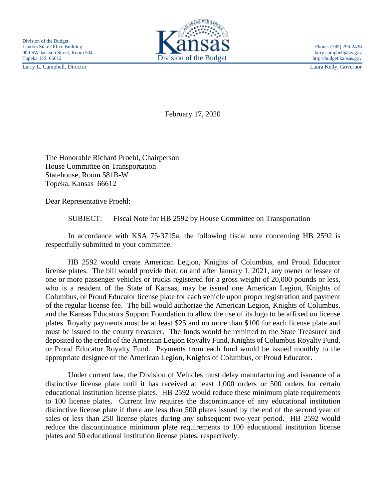Larry L. Campbell, Director Laura Kelly, Governor



February 17, 2020

The Honorable Richard Proehl, Chairperson House Committee on Transportation Statehouse, Room 581B-W Topeka, Kansas 66612

Dear Representative Proehl:

SUBJECT: Fiscal Note for HB 2592 by House Committee on Transportation

In accordance with KSA 75-3715a, the following fiscal note concerning HB 2592 is respectfully submitted to your committee.

HB 2592 would create American Legion, Knights of Columbus, and Proud Educator license plates. The bill would provide that, on and after January 1, 2021, any owner or lessee of one or more passenger vehicles or trucks registered for a gross weight of 20,000 pounds or less, who is a resident of the State of Kansas, may be issued one American Legion, Knights of Columbus, or Proud Educator license plate for each vehicle upon proper registration and payment of the regular license fee. The bill would authorize the American Legion, Knights of Columbus, and the Kansas Educators Support Foundation to allow the use of its logo to be affixed on license plates. Royalty payments must be at least \$25 and no more than \$100 for each license plate and must be issued to the county treasurer. The funds would be remitted to the State Treasurer and deposited to the credit of the American Legion Royalty Fund, Knights of Columbus Royalty Fund, or Proud Educator Royalty Fund. Payments from each fund would be issued monthly to the appropriate designee of the American Legion, Knights of Columbus, or Proud Educator.

Under current law, the Division of Vehicles must delay manufacturing and issuance of a distinctive license plate until it has received at least 1,000 orders or 500 orders for certain educational institution license plates. HB 2592 would reduce these minimum plate requirements to 100 license plates. Current law requires the discontinuance of any educational institution distinctive license plate if there are less than 500 plates issued by the end of the second year of sales or less than 250 license plates during any subsequent two-year period. HB 2592 would reduce the discontinuance minimum plate requirements to 100 educational institution license plates and 50 educational institution license plates, respectively.